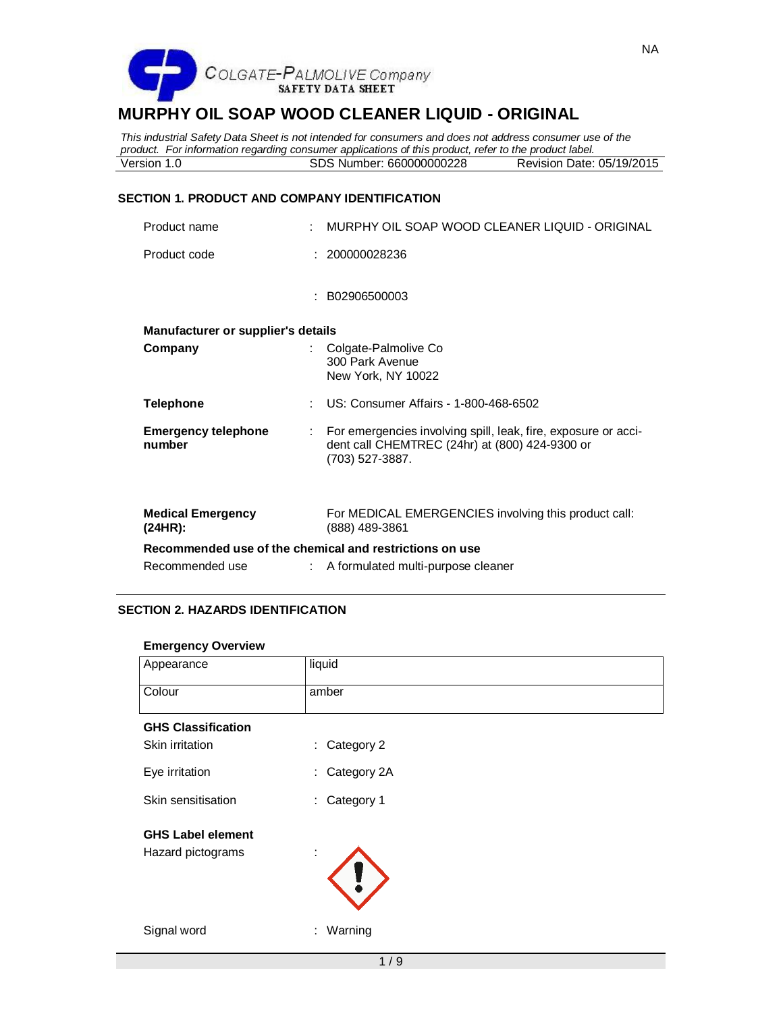

*This industrial Safety Data Sheet is not intended for consumers and does not address consumer use of the product. For information regarding consumer applications of this product, refer to the product label.* SDS Number: 660000000228 Revision Date: 05/19/2015

#### **SECTION 1. PRODUCT AND COMPANY IDENTIFICATION**

| Product name                                            |    | MURPHY OIL SOAP WOOD CLEANER LIQUID - ORIGINAL                                                                                      |
|---------------------------------------------------------|----|-------------------------------------------------------------------------------------------------------------------------------------|
| Product code                                            |    | : 200000028236                                                                                                                      |
|                                                         |    | : B02906500003                                                                                                                      |
| Manufacturer or supplier's details                      |    |                                                                                                                                     |
| Company                                                 |    | : Colgate-Palmolive Co<br>300 Park Avenue<br>New York, NY 10022                                                                     |
| <b>Telephone</b>                                        |    | US: Consumer Affairs - 1-800-468-6502                                                                                               |
| <b>Emergency telephone</b><br>number                    | ÷. | For emergencies involving spill, leak, fire, exposure or acci-<br>dent call CHEMTREC (24hr) at (800) 424-9300 or<br>(703) 527-3887. |
| <b>Medical Emergency</b><br>(24HR):                     |    | For MEDICAL EMERGENCIES involving this product call:<br>(888) 489-3861                                                              |
| Recommended use of the chemical and restrictions on use |    |                                                                                                                                     |
| Recommended use                                         |    | A formulated multi-purpose cleaner                                                                                                  |

# **SECTION 2. HAZARDS IDENTIFICATION**

#### **Emergency Overview**

| Appearance                | liquid            |  |  |  |  |  |
|---------------------------|-------------------|--|--|--|--|--|
| Colour                    | amber             |  |  |  |  |  |
| <b>GHS Classification</b> |                   |  |  |  |  |  |
| Skin irritation           | Category 2<br>÷.  |  |  |  |  |  |
| Eye irritation            | Category 2A<br>÷. |  |  |  |  |  |
| Skin sensitisation        | Category 1<br>÷.  |  |  |  |  |  |
| <b>GHS Label element</b>  |                   |  |  |  |  |  |
| Hazard pictograms         | ٠                 |  |  |  |  |  |
| Signal word               | Warning<br>÷.     |  |  |  |  |  |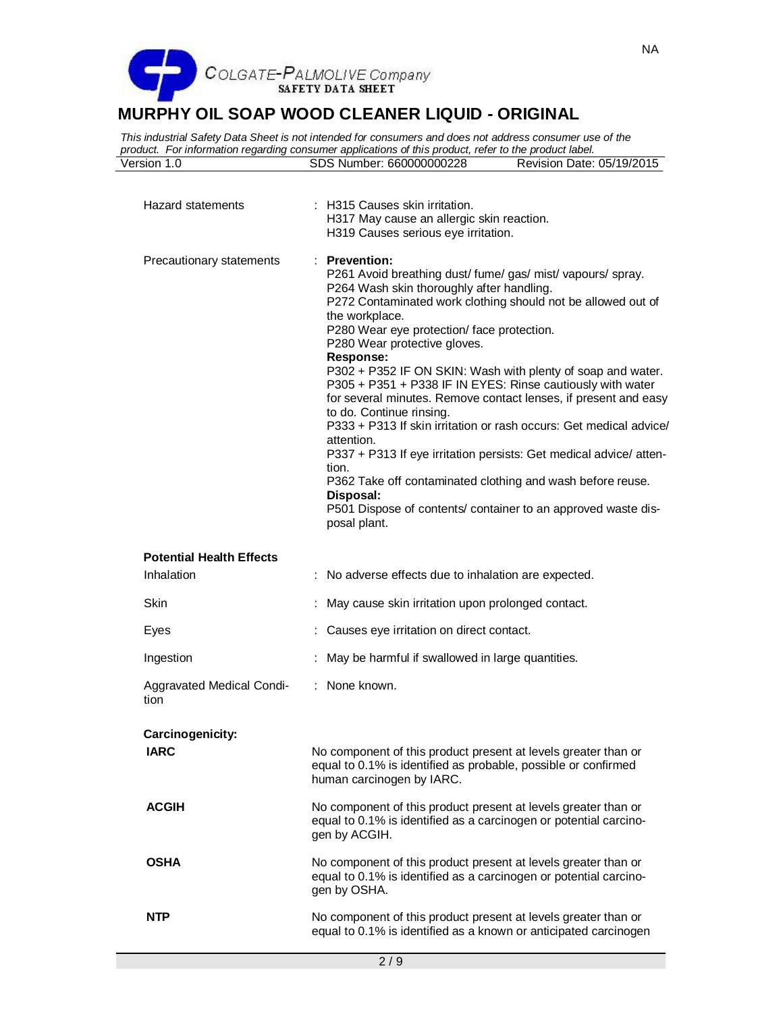

*This industrial Safety Data Sheet is not intended for consumers and does not address consumer use of the product. For information regarding consumer applications of this product, refer to the product label.* SDS Number: 660000000228

| <b>Hazard statements</b>                      | : H315 Causes skin irritation.<br>H317 May cause an allergic skin reaction.<br>H319 Causes serious eye irritation.                                                                                                                                                                                                                                                                                                                                                                                                                                                                                                                                                                                                                                                                                                                                                    |
|-----------------------------------------------|-----------------------------------------------------------------------------------------------------------------------------------------------------------------------------------------------------------------------------------------------------------------------------------------------------------------------------------------------------------------------------------------------------------------------------------------------------------------------------------------------------------------------------------------------------------------------------------------------------------------------------------------------------------------------------------------------------------------------------------------------------------------------------------------------------------------------------------------------------------------------|
| Precautionary statements                      | $:$ Prevention:<br>P261 Avoid breathing dust/fume/gas/mist/vapours/spray.<br>P264 Wash skin thoroughly after handling.<br>P272 Contaminated work clothing should not be allowed out of<br>the workplace.<br>P280 Wear eye protection/ face protection.<br>P280 Wear protective gloves.<br><b>Response:</b><br>P302 + P352 IF ON SKIN: Wash with plenty of soap and water.<br>P305 + P351 + P338 IF IN EYES: Rinse cautiously with water<br>for several minutes. Remove contact lenses, if present and easy<br>to do. Continue rinsing.<br>P333 + P313 If skin irritation or rash occurs: Get medical advice/<br>attention.<br>P337 + P313 If eye irritation persists: Get medical advice/ atten-<br>tion.<br>P362 Take off contaminated clothing and wash before reuse.<br>Disposal:<br>P501 Dispose of contents/ container to an approved waste dis-<br>posal plant. |
| <b>Potential Health Effects</b><br>Inhalation | : No adverse effects due to inhalation are expected.                                                                                                                                                                                                                                                                                                                                                                                                                                                                                                                                                                                                                                                                                                                                                                                                                  |
| <b>Skin</b>                                   | May cause skin irritation upon prolonged contact.                                                                                                                                                                                                                                                                                                                                                                                                                                                                                                                                                                                                                                                                                                                                                                                                                     |
| Eyes                                          | : Causes eye irritation on direct contact.                                                                                                                                                                                                                                                                                                                                                                                                                                                                                                                                                                                                                                                                                                                                                                                                                            |
| Ingestion                                     | May be harmful if swallowed in large quantities.                                                                                                                                                                                                                                                                                                                                                                                                                                                                                                                                                                                                                                                                                                                                                                                                                      |
| Aggravated Medical Condi-<br>tion             | : None known.                                                                                                                                                                                                                                                                                                                                                                                                                                                                                                                                                                                                                                                                                                                                                                                                                                                         |
| Carcinogenicity:                              |                                                                                                                                                                                                                                                                                                                                                                                                                                                                                                                                                                                                                                                                                                                                                                                                                                                                       |
| <b>IARC</b>                                   | No component of this product present at levels greater than or<br>equal to 0.1% is identified as probable, possible or confirmed<br>human carcinogen by IARC.                                                                                                                                                                                                                                                                                                                                                                                                                                                                                                                                                                                                                                                                                                         |
| <b>ACGIH</b>                                  | No component of this product present at levels greater than or<br>equal to 0.1% is identified as a carcinogen or potential carcino-<br>gen by ACGIH.                                                                                                                                                                                                                                                                                                                                                                                                                                                                                                                                                                                                                                                                                                                  |
| <b>OSHA</b>                                   | No component of this product present at levels greater than or<br>equal to 0.1% is identified as a carcinogen or potential carcino-<br>gen by OSHA.                                                                                                                                                                                                                                                                                                                                                                                                                                                                                                                                                                                                                                                                                                                   |
| <b>NTP</b>                                    | No component of this product present at levels greater than or<br>equal to 0.1% is identified as a known or anticipated carcinogen                                                                                                                                                                                                                                                                                                                                                                                                                                                                                                                                                                                                                                                                                                                                    |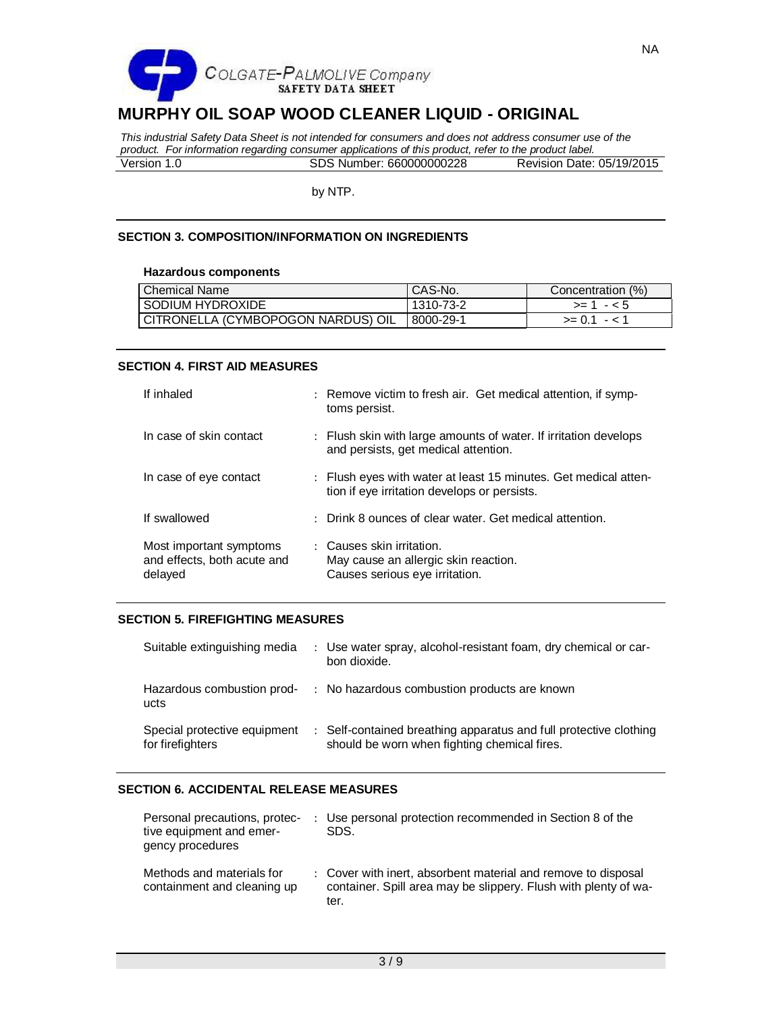

*This industrial Safety Data Sheet is not intended for consumers and does not address consumer use of the product. For information regarding consumer applications of this product, refer to the product label.* Version 1.0 SDS Number: 660000000228 Revision Date: 05/19/2015

by NTP.

#### **SECTION 3. COMPOSITION/INFORMATION ON INGREDIENTS**

#### **Hazardous components**

| Chemical Name                      | CAS-No.   | Concentration (%) |
|------------------------------------|-----------|-------------------|
| I SODIUM HYDROXIDE                 | 1310-73-2 | $> = 1 - 5$       |
| CITRONELLA (CYMBOPOGON NARDUS) OIL | 8000-29-1 | $>= 0.1 - 1.1$    |

#### **SECTION 4. FIRST AID MEASURES**

| If inhaled                                                        | : Remove victim to fresh air. Get medical attention, if symp-<br>toms persist.                                  |  |
|-------------------------------------------------------------------|-----------------------------------------------------------------------------------------------------------------|--|
| In case of skin contact                                           | : Flush skin with large amounts of water. If irritation develops<br>and persists, get medical attention.        |  |
| In case of eye contact                                            | : Flush eyes with water at least 15 minutes. Get medical atten-<br>tion if eye irritation develops or persists. |  |
| If swallowed                                                      | : Drink 8 ounces of clear water. Get medical attention.                                                         |  |
| Most important symptoms<br>and effects, both acute and<br>delayed | : Causes skin irritation.<br>May cause an allergic skin reaction.<br>Causes serious eye irritation.             |  |

#### **SECTION 5. FIREFIGHTING MEASURES**

| Suitable extinguishing media                     | : Use water spray, alcohol-resistant foam, dry chemical or car-<br>bon dioxide.                                   |
|--------------------------------------------------|-------------------------------------------------------------------------------------------------------------------|
| Hazardous combustion prod-<br>ucts               | : No hazardous combustion products are known                                                                      |
| Special protective equipment<br>for firefighters | : Self-contained breathing apparatus and full protective clothing<br>should be worn when fighting chemical fires. |

# **SECTION 6. ACCIDENTAL RELEASE MEASURES**

| Personal precautions, protec-<br>tive equipment and emer-<br>gency procedures | : Use personal protection recommended in Section 8 of the<br>SDS.                                                                        |
|-------------------------------------------------------------------------------|------------------------------------------------------------------------------------------------------------------------------------------|
| Methods and materials for<br>containment and cleaning up                      | : Cover with inert, absorbent material and remove to disposal<br>container. Spill area may be slippery. Flush with plenty of wa-<br>ter. |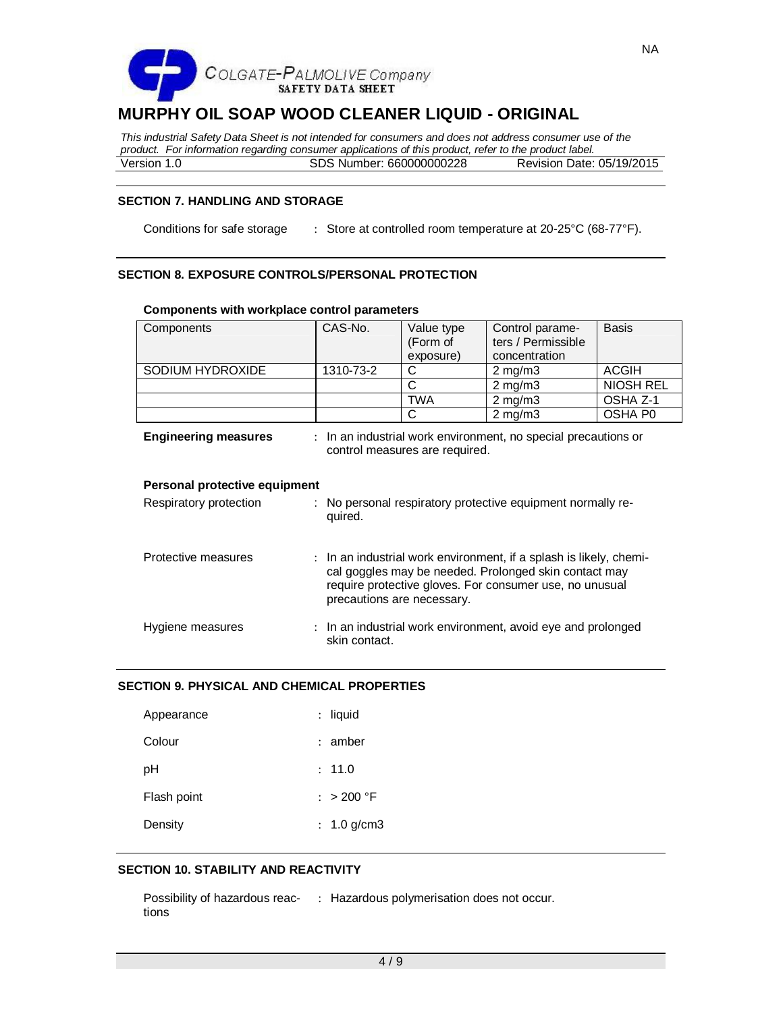

*This industrial Safety Data Sheet is not intended for consumers and does not address consumer use of the product. For information regarding consumer applications of this product, refer to the product label.* Version 1.0 SDS Number: 660000000228 Revision Date: 05/19/2015

# **SECTION 7. HANDLING AND STORAGE**

Conditions for safe storage : Store at controlled room temperature at 20-25°C (68-77°F).

# **SECTION 8. EXPOSURE CONTROLS/PERSONAL PROTECTION**

| Components                    | CAS-No.                                                                                                                                                                                                              | Value type<br>(Form of | Control parame-<br>ters / Permissible                        | <b>Basis</b>        |  |  |  |  |
|-------------------------------|----------------------------------------------------------------------------------------------------------------------------------------------------------------------------------------------------------------------|------------------------|--------------------------------------------------------------|---------------------|--|--|--|--|
|                               |                                                                                                                                                                                                                      | exposure)              | concentration                                                |                     |  |  |  |  |
| SODIUM HYDROXIDE              | 1310-73-2                                                                                                                                                                                                            | C                      | $2$ mg/m $3$                                                 | <b>ACGIH</b>        |  |  |  |  |
|                               |                                                                                                                                                                                                                      | C                      | $2$ mg/m $3$                                                 | <b>NIOSH REL</b>    |  |  |  |  |
|                               |                                                                                                                                                                                                                      | <b>TWA</b>             | $2$ mg/m $3$                                                 | OSHA Z-1            |  |  |  |  |
|                               |                                                                                                                                                                                                                      | C                      | $2$ mg/m $3$                                                 | OSHA P <sub>0</sub> |  |  |  |  |
| <b>Engineering measures</b>   | : In an industrial work environment, no special precautions or<br>control measures are required.                                                                                                                     |                        |                                                              |                     |  |  |  |  |
| Personal protective equipment |                                                                                                                                                                                                                      |                        |                                                              |                     |  |  |  |  |
| Respiratory protection        | : No personal respiratory protective equipment normally re-<br>quired.                                                                                                                                               |                        |                                                              |                     |  |  |  |  |
| Protective measures           | : In an industrial work environment, if a splash is likely, chemi-<br>cal goggles may be needed. Prolonged skin contact may<br>require protective gloves. For consumer use, no unusual<br>precautions are necessary. |                        |                                                              |                     |  |  |  |  |
| Hygiene measures              | skin contact.                                                                                                                                                                                                        |                        | : In an industrial work environment, avoid eye and prolonged |                     |  |  |  |  |

#### **Components with workplace control parameters**

#### **SECTION 9. PHYSICAL AND CHEMICAL PROPERTIES**

| Appearance  | : liquid      |
|-------------|---------------|
| Colour      | $:$ amber     |
| рH          | : 11.0        |
| Flash point | : $> 200 °F$  |
| Density     | : $1.0$ g/cm3 |

#### **SECTION 10. STABILITY AND REACTIVITY**

Possibility of hazardous reac- : Hazardous polymerisation does not occur. tions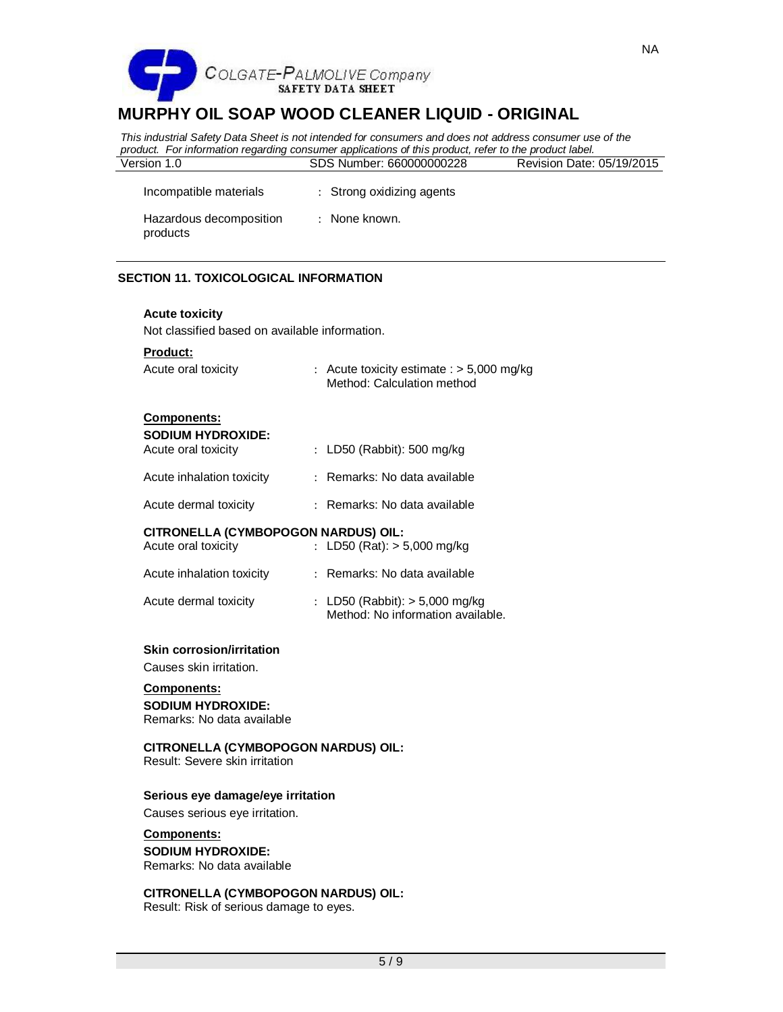

*This industrial Safety Data Sheet is not intended for consumers and does not address consumer use of the product. For information regarding consumer applications of this product, refer to the product label.* Version 1.0 SDS Number: 660000000228 Revision Date: 05/19/2015

Incompatible materials : Strong oxidizing agents Hazardous decomposition products : None known.

# **SECTION 11. TOXICOLOGICAL INFORMATION**

#### **Acute toxicity**

Not classified based on available information.

#### **Product:**

| Acute oral toxicity | : Acute toxicity estimate $:$ > 5,000 mg/kg<br>Method: Calculation method |
|---------------------|---------------------------------------------------------------------------|
|                     |                                                                           |

#### **Components:**

|  |  | SODIUM HYDROXIDE:                    |  |  |  |  |  |  |
|--|--|--------------------------------------|--|--|--|--|--|--|
|  |  | والمقام فالمسامس والمستحدث والمستنبذ |  |  |  |  |  |  |

| Acute oral toxicity       | : LD50 (Rabbit): 500 mg/kg   |
|---------------------------|------------------------------|
| Acute inhalation toxicity | : Remarks: No data available |

| Acute dermal toxicity | Remarks: No data available |
|-----------------------|----------------------------|

# **CITRONELLA (CYMBOPOGON NARDUS) OIL:**

| Acute oral toxicity       | : LD50 (Rat): $>$ 5,000 mg/kg |
|---------------------------|-------------------------------|
| Acute inhalation toxicity | : Remarks: No data available  |

| Acute dermal toxicity | : LD50 (Rabbit): $> 5,000$ mg/kg  |
|-----------------------|-----------------------------------|
|                       | Method: No information available. |

# **Skin corrosion/irritation**

Causes skin irritation.

# **Components:**

**SODIUM HYDROXIDE:** Remarks: No data available

# **CITRONELLA (CYMBOPOGON NARDUS) OIL:**

Result: Severe skin irritation

# **Serious eye damage/eye irritation**

Causes serious eye irritation.

# **Components:**

# **SODIUM HYDROXIDE:**

Remarks: No data available

# **CITRONELLA (CYMBOPOGON NARDUS) OIL:**

Result: Risk of serious damage to eyes.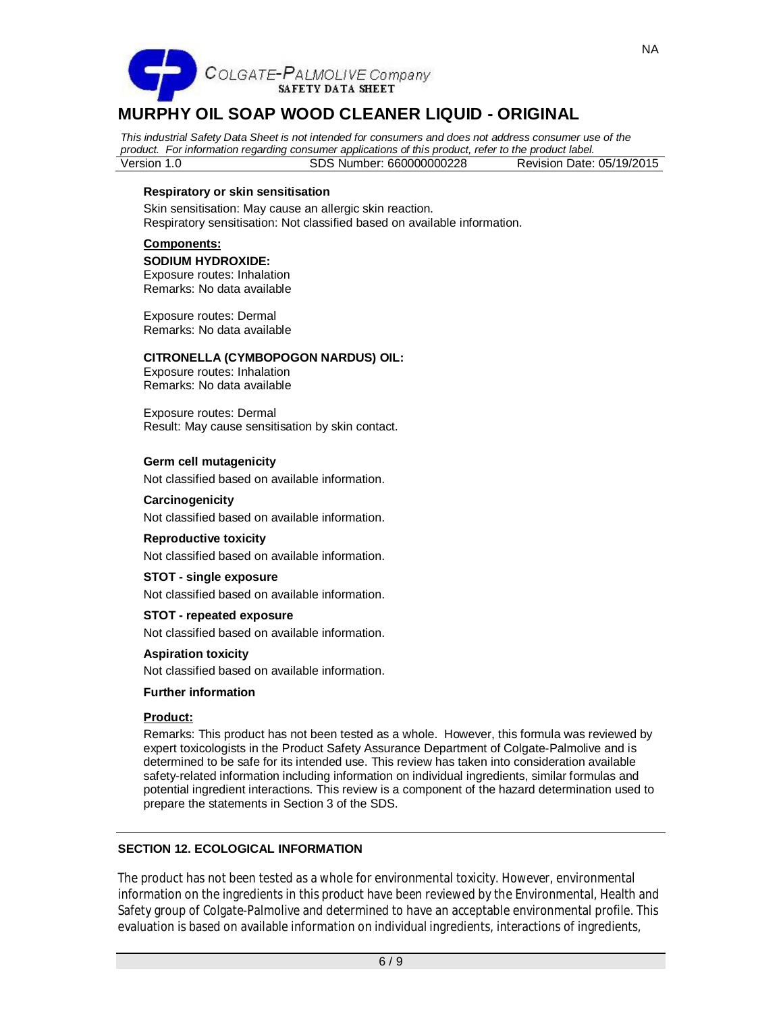

*This industrial Safety Data Sheet is not intended for consumers and does not address consumer use of the product. For information regarding consumer applications of this product, refer to the product label.* Version 1.0 SDS Number: 660000000228 Revision Date: 05/19/2015

#### **Respiratory or skin sensitisation**

Skin sensitisation: May cause an allergic skin reaction. Respiratory sensitisation: Not classified based on available information.

#### **Components:**

#### **SODIUM HYDROXIDE:**

Exposure routes: Inhalation Remarks: No data available

Exposure routes: Dermal Remarks: No data available

#### **CITRONELLA (CYMBOPOGON NARDUS) OIL:**

Exposure routes: Inhalation Remarks: No data available

Exposure routes: Dermal Result: May cause sensitisation by skin contact.

# **Germ cell mutagenicity**

Not classified based on available information.

#### **Carcinogenicity**

Not classified based on available information.

#### **Reproductive toxicity**

Not classified based on available information.

#### **STOT - single exposure**

Not classified based on available information.

#### **STOT - repeated exposure**

Not classified based on available information.

# **Aspiration toxicity**

Not classified based on available information.

#### **Further information**

#### **Product:**

Remarks: This product has not been tested as a whole. However, this formula was reviewed by expert toxicologists in the Product Safety Assurance Department of Colgate-Palmolive and is determined to be safe for its intended use. This review has taken into consideration available safety-related information including information on individual ingredients, similar formulas and potential ingredient interactions. This review is a component of the hazard determination used to prepare the statements in Section 3 of the SDS.

# **SECTION 12. ECOLOGICAL INFORMATION**

The product has not been tested as a whole for environmental toxicity. However, environmental information on the ingredients in this product have been reviewed by the Environmental, Health and Safety group of Colgate-Palmolive and determined to have an acceptable environmental profile. This evaluation is based on available information on individual ingredients, interactions of ingredients,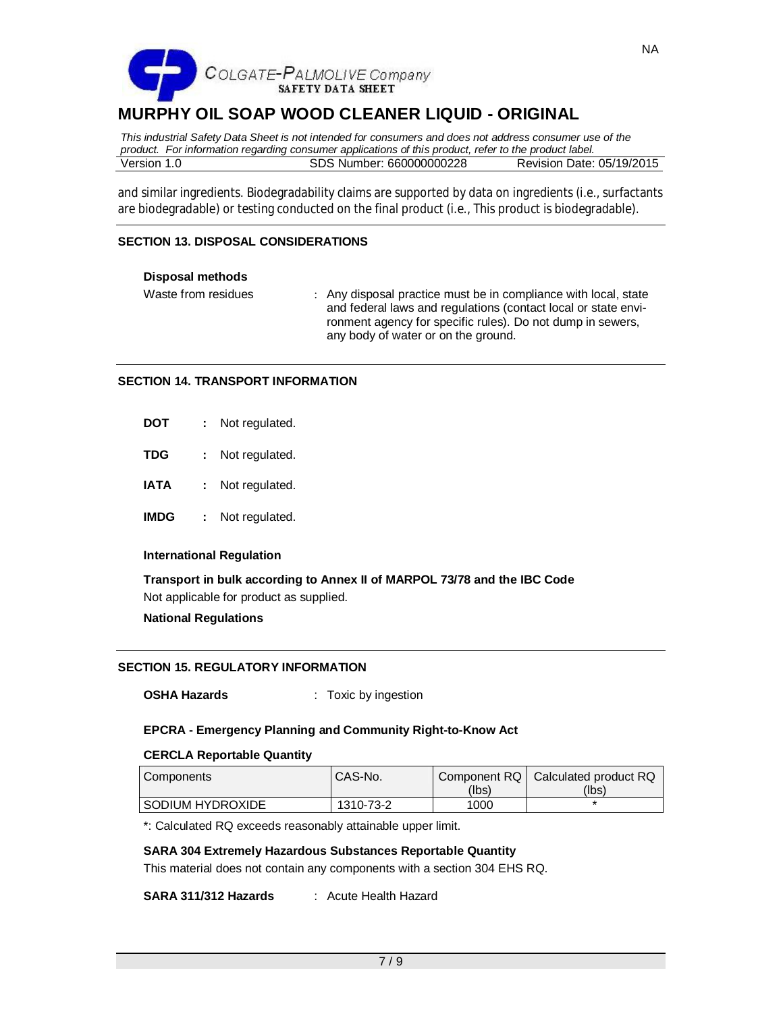

*This industrial Safety Data Sheet is not intended for consumers and does not address consumer use of the product. For information regarding consumer applications of this product, refer to the product label.* Version 1.0 SDS Number: 660000000228 Revision Date: 05/19/2015

and similar ingredients. Biodegradability claims are supported by data on ingredients (i.e., surfactants are biodegradable) or testing conducted on the final product (i.e., This product is biodegradable).

# **SECTION 13. DISPOSAL CONSIDERATIONS**

#### **Disposal methods**

Waste from residues : Any disposal practice must be in compliance with local, state and federal laws and regulations (contact local or state environment agency for specific rules). Do not dump in sewers, any body of water or on the ground.

#### **SECTION 14. TRANSPORT INFORMATION**

| <b>DOT</b> | Not regulated. |
|------------|----------------|
| <b>TDG</b> | Not regulated. |

- **IATA :** Not regulated.
- **IMDG :** Not regulated.

# **International Regulation**

**Transport in bulk according to Annex II of MARPOL 73/78 and the IBC Code** Not applicable for product as supplied.

# **National Regulations**

# **SECTION 15. REGULATORY INFORMATION**

**OSHA Hazards** : Toxic by ingestion

# **EPCRA - Emergency Planning and Community Right-to-Know Act**

# **CERCLA Reportable Quantity**

| Components              | CAS-No.   | (Ibs) | Component RQ   Calculated product RQ<br>(Ibs) |
|-------------------------|-----------|-------|-----------------------------------------------|
| <b>SODIUM HYDROXIDE</b> | 1310-73-2 | 1000  |                                               |

\*: Calculated RQ exceeds reasonably attainable upper limit.

# **SARA 304 Extremely Hazardous Substances Reportable Quantity**

This material does not contain any components with a section 304 EHS RQ.

**SARA 311/312 Hazards** : Acute Health Hazard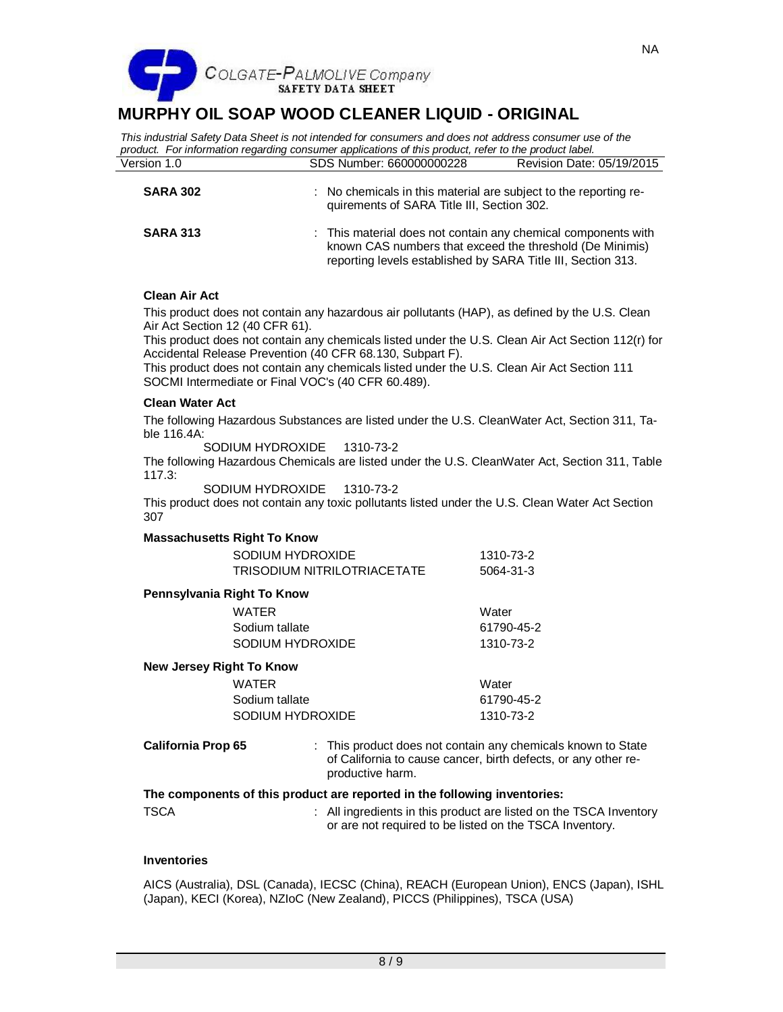

*This industrial Safety Data Sheet is not intended for consumers and does not address consumer use of the product. For information regarding consumer applications of this product, refer to the product label.* Version 1.0 SDS Number: 660000000228 Revision Date: 05/19/2015

| <b>SARA 302</b> | : No chemicals in this material are subject to the reporting re-<br>quirements of SARA Title III, Section 302.                                                                            |
|-----------------|-------------------------------------------------------------------------------------------------------------------------------------------------------------------------------------------|
| <b>SARA 313</b> | : This material does not contain any chemical components with<br>known CAS numbers that exceed the threshold (De Minimis)<br>reporting levels established by SARA Title III, Section 313. |

# **Clean Air Act**

This product does not contain any hazardous air pollutants (HAP), as defined by the U.S. Clean Air Act Section 12 (40 CFR 61).

This product does not contain any chemicals listed under the U.S. Clean Air Act Section 112(r) for Accidental Release Prevention (40 CFR 68.130, Subpart F).

This product does not contain any chemicals listed under the U.S. Clean Air Act Section 111 SOCMI Intermediate or Final VOC's (40 CFR 60.489).

#### **Clean Water Act**

The following Hazardous Substances are listed under the U.S. CleanWater Act, Section 311, Table 116.4A:

SODIUM HYDROXIDE 1310-73-2

The following Hazardous Chemicals are listed under the U.S. CleanWater Act, Section 311, Table 117.3:

SODIUM HYDROXIDE 1310-73-2

This product does not contain any toxic pollutants listed under the U.S. Clean Water Act Section 307

#### **Massachusetts Right To Know**

| SODIUM HYDROXIDE                   | 1310-73-2 |
|------------------------------------|-----------|
| <b>TRISODIUM NITRILOTRIACETATE</b> | 5064-31-3 |

#### **Pennsylvania Right To Know**

| <b>WATER</b>     | Water      |
|------------------|------------|
| Sodium tallate   | 61790-45-2 |
| SODIUM HYDROXIDE | 1310-73-2  |

#### **New Jersey Right To Know**

| WATFR            | Water      |
|------------------|------------|
| Sodium tallate   | 61790-45-2 |
| SODIUM HYDROXIDE | 1310-73-2  |

| <b>California Prop 65</b> | : This product does not contain any chemicals known to State   |
|---------------------------|----------------------------------------------------------------|
|                           | of California to cause cancer, birth defects, or any other re- |
|                           | productive harm.                                               |

#### **The components of this product are reported in the following inventories:**

 $\therefore$  All ingredients in this product are listed on the TSCA Inventory or are not required to be listed on the TSCA Inventory.

#### **Inventories**

AICS (Australia), DSL (Canada), IECSC (China), REACH (European Union), ENCS (Japan), ISHL (Japan), KECI (Korea), NZIoC (New Zealand), PICCS (Philippines), TSCA (USA)

NA